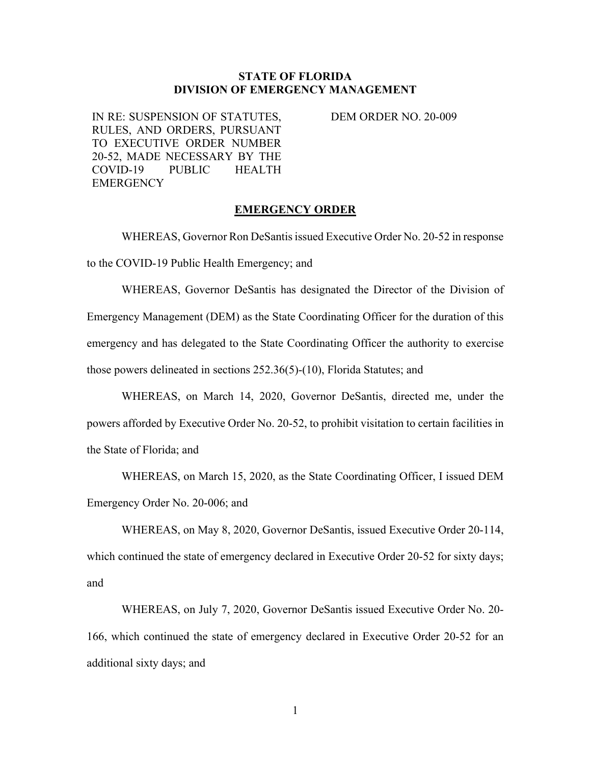## **STATE OF FLORIDA DIVISION OF EMERGENCY MANAGEMENT**

IN RE: SUSPENSION OF STATUTES, RULES, AND ORDERS, PURSUANT TO EXECUTIVE ORDER NUMBER 20-52, MADE NECESSARY BY THE COVID-19 PUBLIC HEALTH **EMERGENCY** 

DEM ORDER NO. 20-009

## **EMERGENCY ORDER**

WHEREAS, Governor Ron DeSantis issued Executive Order No. 20-52 in response to the COVID-19 Public Health Emergency; and

WHEREAS, Governor DeSantis has designated the Director of the Division of Emergency Management (DEM) as the State Coordinating Officer for the duration of this emergency and has delegated to the State Coordinating Officer the authority to exercise those powers delineated in sections 252.36(5)-(10), Florida Statutes; and

WHEREAS, on March 14, 2020, Governor DeSantis, directed me, under the powers afforded by Executive Order No. 20-52, to prohibit visitation to certain facilities in the State of Florida; and

WHEREAS, on March 15, 2020, as the State Coordinating Officer, I issued DEM Emergency Order No. 20-006; and

WHEREAS, on May 8, 2020, Governor DeSantis, issued Executive Order 20-114, which continued the state of emergency declared in Executive Order 20-52 for sixty days; and

WHEREAS, on July 7, 2020, Governor DeSantis issued Executive Order No. 20- 166, which continued the state of emergency declared in Executive Order 20-52 for an additional sixty days; and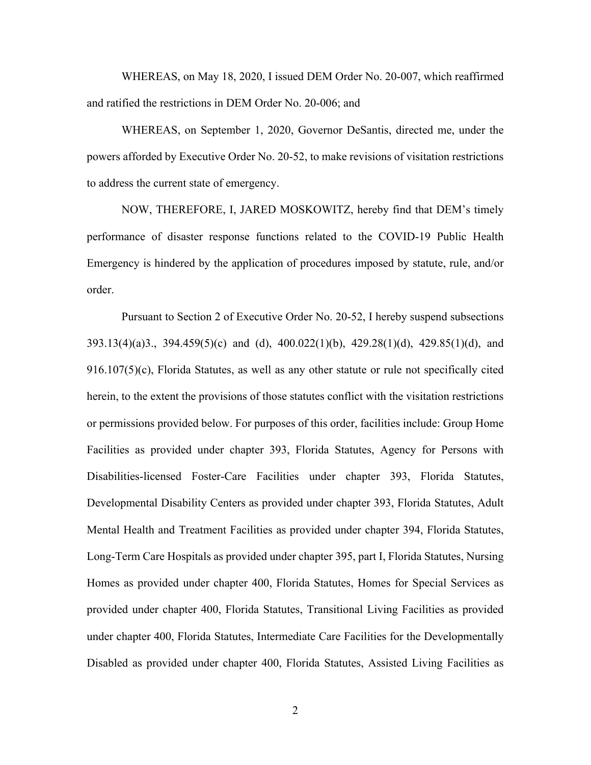WHEREAS, on May 18, 2020, I issued DEM Order No. 20-007, which reaffirmed and ratified the restrictions in DEM Order No. 20-006; and

WHEREAS, on September 1, 2020, Governor DeSantis, directed me, under the powers afforded by Executive Order No. 20-52, to make revisions of visitation restrictions to address the current state of emergency.

NOW, THEREFORE, I, JARED MOSKOWITZ, hereby find that DEM's timely performance of disaster response functions related to the COVID-19 Public Health Emergency is hindered by the application of procedures imposed by statute, rule, and/or order.

Pursuant to Section 2 of Executive Order No. 20-52, I hereby suspend subsections 393.13(4)(a)3., 394.459(5)(c) and (d), 400.022(1)(b), 429.28(1)(d), 429.85(1)(d), and 916.107(5)(c), Florida Statutes, as well as any other statute or rule not specifically cited herein, to the extent the provisions of those statutes conflict with the visitation restrictions or permissions provided below. For purposes of this order, facilities include: Group Home Facilities as provided under chapter 393, Florida Statutes, Agency for Persons with Disabilities-licensed Foster-Care Facilities under chapter 393, Florida Statutes, Developmental Disability Centers as provided under chapter 393, Florida Statutes, Adult Mental Health and Treatment Facilities as provided under chapter 394, Florida Statutes, Long-Term Care Hospitals as provided under chapter 395, part I, Florida Statutes, Nursing Homes as provided under chapter 400, Florida Statutes, Homes for Special Services as provided under chapter 400, Florida Statutes, Transitional Living Facilities as provided under chapter 400, Florida Statutes, Intermediate Care Facilities for the Developmentally Disabled as provided under chapter 400, Florida Statutes, Assisted Living Facilities as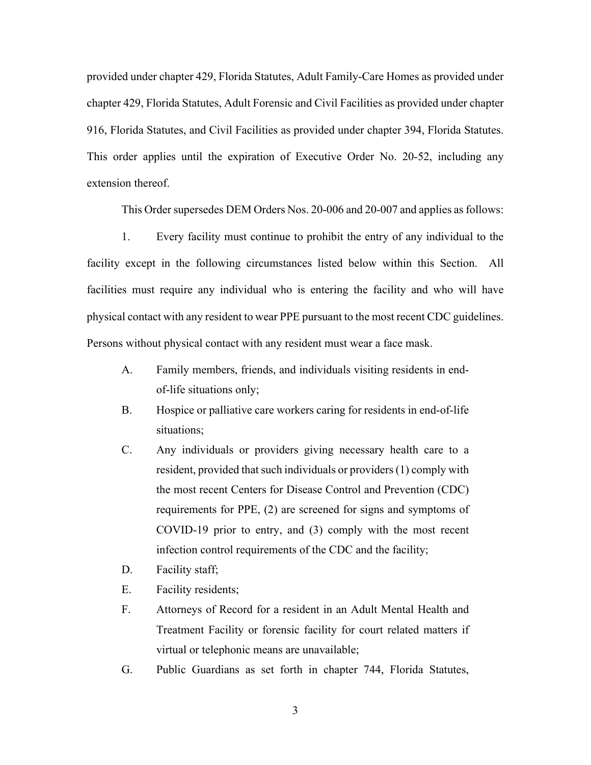provided under chapter 429, Florida Statutes, Adult Family-Care Homes as provided under chapter 429, Florida Statutes, Adult Forensic and Civil Facilities as provided under chapter 916, Florida Statutes, and Civil Facilities as provided under chapter 394, Florida Statutes. This order applies until the expiration of Executive Order No. 20-52, including any extension thereof.

This Order supersedes DEM Orders Nos. 20-006 and 20-007 and applies as follows:

1. Every facility must continue to prohibit the entry of any individual to the facility except in the following circumstances listed below within this Section. All facilities must require any individual who is entering the facility and who will have physical contact with any resident to wear PPE pursuant to the most recent CDC guidelines. Persons without physical contact with any resident must wear a face mask.

- A. Family members, friends, and individuals visiting residents in endof-life situations only;
- B. Hospice or palliative care workers caring for residents in end-of-life situations;
- C. Any individuals or providers giving necessary health care to a resident, provided that such individuals or providers (1) comply with the most recent Centers for Disease Control and Prevention (CDC) requirements for PPE, (2) are screened for signs and symptoms of COVID-19 prior to entry, and (3) comply with the most recent infection control requirements of the CDC and the facility;
- D. Facility staff;
- E. Facility residents;
- F. Attorneys of Record for a resident in an Adult Mental Health and Treatment Facility or forensic facility for court related matters if virtual or telephonic means are unavailable;
- G. Public Guardians as set forth in chapter 744, Florida Statutes,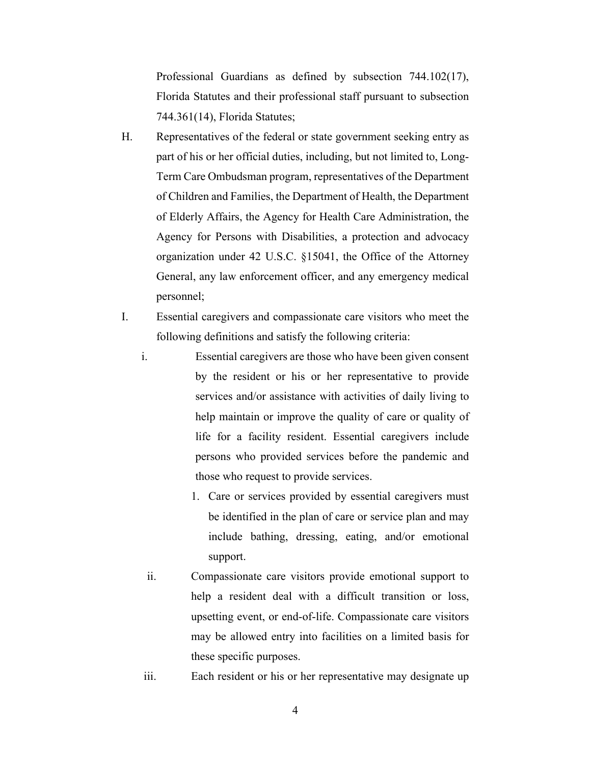Professional Guardians as defined by subsection 744.102(17), Florida Statutes and their professional staff pursuant to subsection 744.361(14), Florida Statutes;

- H. Representatives of the federal or state government seeking entry as part of his or her official duties, including, but not limited to, Long-Term Care Ombudsman program, representatives of the Department of Children and Families, the Department of Health, the Department of Elderly Affairs, the Agency for Health Care Administration, the Agency for Persons with Disabilities, a protection and advocacy organization under 42 U.S.C. §15041, the Office of the Attorney General, any law enforcement officer, and any emergency medical personnel;
- I. Essential caregivers and compassionate care visitors who meet the following definitions and satisfy the following criteria:
	- i. Essential caregivers are those who have been given consent by the resident or his or her representative to provide services and/or assistance with activities of daily living to help maintain or improve the quality of care or quality of life for a facility resident. Essential caregivers include persons who provided services before the pandemic and those who request to provide services.
		- 1. Care or services provided by essential caregivers must be identified in the plan of care or service plan and may include bathing, dressing, eating, and/or emotional support.
	- ii. Compassionate care visitors provide emotional support to help a resident deal with a difficult transition or loss, upsetting event, or end-of-life. Compassionate care visitors may be allowed entry into facilities on a limited basis for these specific purposes.
	- iii. Each resident or his or her representative may designate up
		- 4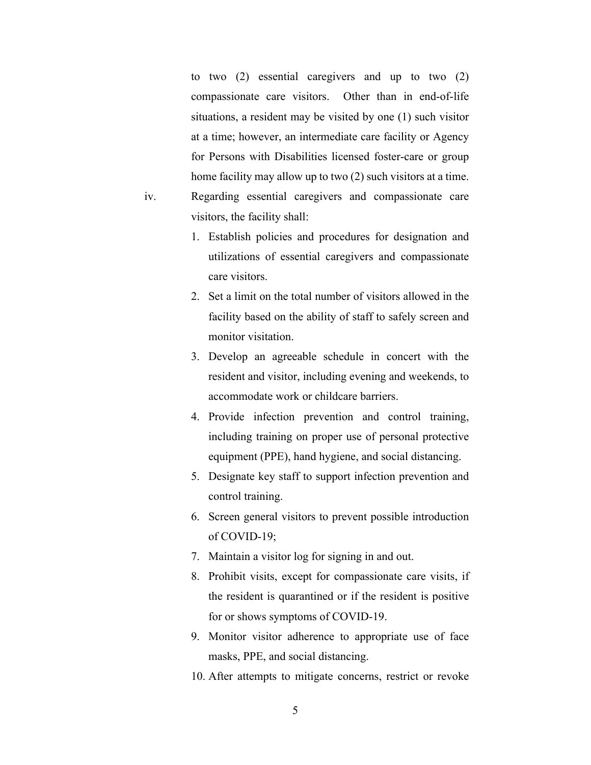to two (2) essential caregivers and up to two (2) compassionate care visitors. Other than in end-of-life situations, a resident may be visited by one (1) such visitor at a time; however, an intermediate care facility or Agency for Persons with Disabilities licensed foster-care or group home facility may allow up to two (2) such visitors at a time. iv. Regarding essential caregivers and compassionate care visitors, the facility shall:

- 1. Establish policies and procedures for designation and utilizations of essential caregivers and compassionate care visitors.
- 2. Set a limit on the total number of visitors allowed in the facility based on the ability of staff to safely screen and monitor visitation.
- 3. Develop an agreeable schedule in concert with the resident and visitor, including evening and weekends, to accommodate work or childcare barriers.
- 4. Provide infection prevention and control training, including training on proper use of personal protective equipment (PPE), hand hygiene, and social distancing.
- 5. Designate key staff to support infection prevention and control training.
- 6. Screen general visitors to prevent possible introduction of COVID-19;
- 7. Maintain a visitor log for signing in and out.
- 8. Prohibit visits, except for compassionate care visits, if the resident is quarantined or if the resident is positive for or shows symptoms of COVID-19.
- 9. Monitor visitor adherence to appropriate use of face masks, PPE, and social distancing.
- 10. After attempts to mitigate concerns, restrict or revoke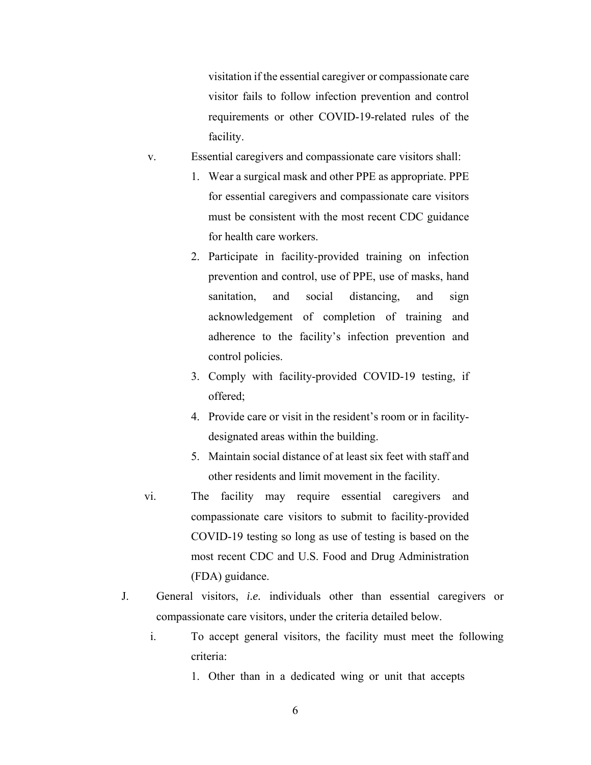visitation if the essential caregiver or compassionate care visitor fails to follow infection prevention and control requirements or other COVID-19-related rules of the facility.

- v. Essential caregivers and compassionate care visitors shall:
	- 1. Wear a surgical mask and other PPE as appropriate. PPE for essential caregivers and compassionate care visitors must be consistent with the most recent CDC guidance for health care workers.
	- 2. Participate in facility-provided training on infection prevention and control, use of PPE, use of masks, hand sanitation, and social distancing, and sign acknowledgement of completion of training and adherence to the facility's infection prevention and control policies.
	- 3. Comply with facility-provided COVID-19 testing, if offered;
	- 4. Provide care or visit in the resident's room or in facilitydesignated areas within the building.
	- 5. Maintain social distance of at least six feet with staff and other residents and limit movement in the facility.
- vi. The facility may require essential caregivers and compassionate care visitors to submit to facility-provided COVID-19 testing so long as use of testing is based on the most recent CDC and U.S. Food and Drug Administration (FDA) guidance.
- J. General visitors, *i.e.* individuals other than essential caregivers or compassionate care visitors, under the criteria detailed below.
	- i. To accept general visitors, the facility must meet the following criteria:
		- 1. Other than in a dedicated wing or unit that accepts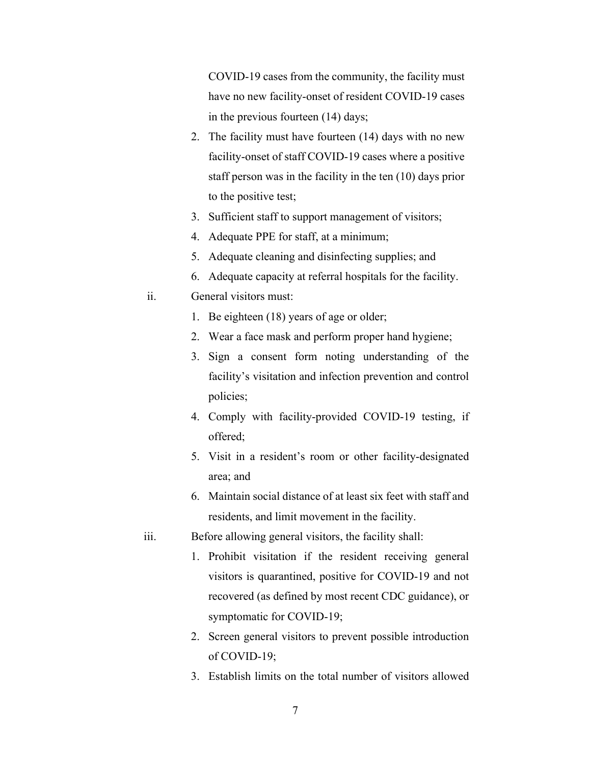COVID-19 cases from the community, the facility must have no new facility-onset of resident COVID-19 cases in the previous fourteen (14) days;

- 2. The facility must have fourteen (14) days with no new facility-onset of staff COVID-19 cases where a positive staff person was in the facility in the ten (10) days prior to the positive test;
- 3. Sufficient staff to support management of visitors;
- 4. Adequate PPE for staff, at a minimum;
- 5. Adequate cleaning and disinfecting supplies; and
- 6. Adequate capacity at referral hospitals for the facility.
- ii. General visitors must:
	- 1. Be eighteen (18) years of age or older;
	- 2. Wear a face mask and perform proper hand hygiene;
	- 3. Sign a consent form noting understanding of the facility's visitation and infection prevention and control policies;
	- 4. Comply with facility-provided COVID-19 testing, if offered;
	- 5. Visit in a resident's room or other facility-designated area; and
	- 6. Maintain social distance of at least six feet with staff and residents, and limit movement in the facility.
- iii. Before allowing general visitors, the facility shall:
	- 1. Prohibit visitation if the resident receiving general visitors is quarantined, positive for COVID-19 and not recovered (as defined by most recent CDC guidance), or symptomatic for COVID-19;
	- 2. Screen general visitors to prevent possible introduction of COVID-19;
	- 3. Establish limits on the total number of visitors allowed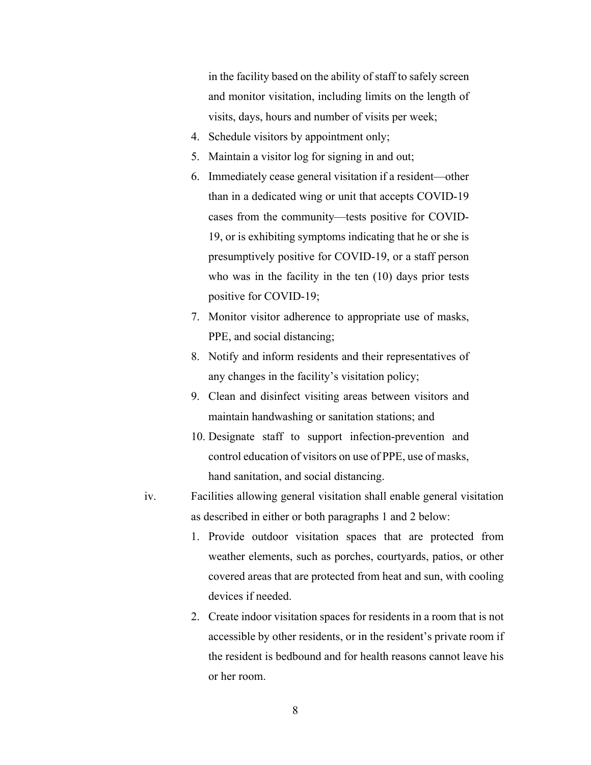in the facility based on the ability of staff to safely screen and monitor visitation, including limits on the length of visits, days, hours and number of visits per week;

- 4. Schedule visitors by appointment only;
- 5. Maintain a visitor log for signing in and out;
- 6. Immediately cease general visitation if a resident—other than in a dedicated wing or unit that accepts COVID-19 cases from the community—tests positive for COVID-19, or is exhibiting symptoms indicating that he or she is presumptively positive for COVID-19, or a staff person who was in the facility in the ten (10) days prior tests positive for COVID-19;
- 7. Monitor visitor adherence to appropriate use of masks, PPE, and social distancing;
- 8. Notify and inform residents and their representatives of any changes in the facility's visitation policy;
- 9. Clean and disinfect visiting areas between visitors and maintain handwashing or sanitation stations; and
- 10. Designate staff to support infection-prevention and control education of visitors on use of PPE, use of masks, hand sanitation, and social distancing.
- iv. Facilities allowing general visitation shall enable general visitation as described in either or both paragraphs 1 and 2 below:
	- 1. Provide outdoor visitation spaces that are protected from weather elements, such as porches, courtyards, patios, or other covered areas that are protected from heat and sun, with cooling devices if needed.
	- 2. Create indoor visitation spaces for residents in a room that is not accessible by other residents, or in the resident's private room if the resident is bedbound and for health reasons cannot leave his or her room.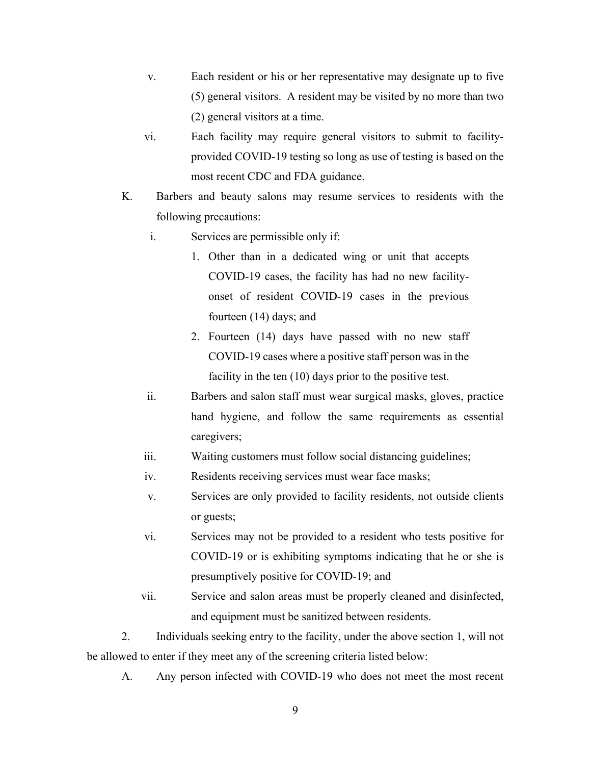- v. Each resident or his or her representative may designate up to five (5) general visitors. A resident may be visited by no more than two (2) general visitors at a time.
- vi. Each facility may require general visitors to submit to facilityprovided COVID-19 testing so long as use of testing is based on the most recent CDC and FDA guidance.
- K. Barbers and beauty salons may resume services to residents with the following precautions:
	- i. Services are permissible only if:
		- 1. Other than in a dedicated wing or unit that accepts COVID-19 cases, the facility has had no new facilityonset of resident COVID-19 cases in the previous fourteen (14) days; and
		- 2. Fourteen (14) days have passed with no new staff COVID-19 cases where a positive staff person was in the facility in the ten (10) days prior to the positive test.
	- ii. Barbers and salon staff must wear surgical masks, gloves, practice hand hygiene, and follow the same requirements as essential caregivers;
	- iii. Waiting customers must follow social distancing guidelines;
	- iv. Residents receiving services must wear face masks;
	- v. Services are only provided to facility residents, not outside clients or guests;
	- vi. Services may not be provided to a resident who tests positive for COVID-19 or is exhibiting symptoms indicating that he or she is presumptively positive for COVID-19; and
	- vii. Service and salon areas must be properly cleaned and disinfected, and equipment must be sanitized between residents.

2. Individuals seeking entry to the facility, under the above section 1, will not be allowed to enter if they meet any of the screening criteria listed below:

A. Any person infected with COVID-19 who does not meet the most recent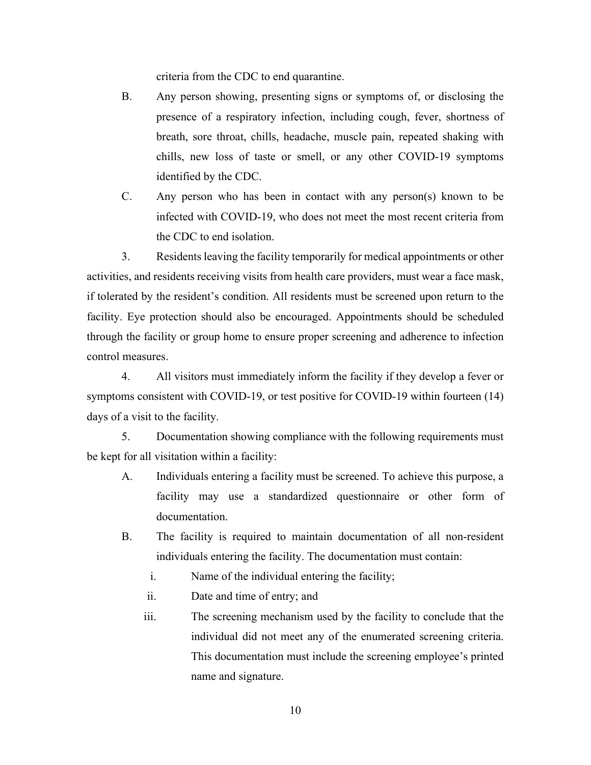criteria from the CDC to end quarantine.

- B. Any person showing, presenting signs or symptoms of, or disclosing the presence of a respiratory infection, including cough, fever, shortness of breath, sore throat, chills, headache, muscle pain, repeated shaking with chills, new loss of taste or smell, or any other COVID-19 symptoms identified by the CDC.
- C. Any person who has been in contact with any person(s) known to be infected with COVID-19, who does not meet the most recent criteria from the CDC to end isolation.

3. Residents leaving the facility temporarily for medical appointments or other activities, and residents receiving visits from health care providers, must wear a face mask, if tolerated by the resident's condition. All residents must be screened upon return to the facility. Eye protection should also be encouraged. Appointments should be scheduled through the facility or group home to ensure proper screening and adherence to infection control measures.

4. All visitors must immediately inform the facility if they develop a fever or symptoms consistent with COVID-19, or test positive for COVID-19 within fourteen (14) days of a visit to the facility.

5. Documentation showing compliance with the following requirements must be kept for all visitation within a facility:

- A. Individuals entering a facility must be screened. To achieve this purpose, a facility may use a standardized questionnaire or other form of documentation.
- B. The facility is required to maintain documentation of all non-resident individuals entering the facility. The documentation must contain:
	- i. Name of the individual entering the facility;
	- ii. Date and time of entry; and
	- iii. The screening mechanism used by the facility to conclude that the individual did not meet any of the enumerated screening criteria. This documentation must include the screening employee's printed name and signature.